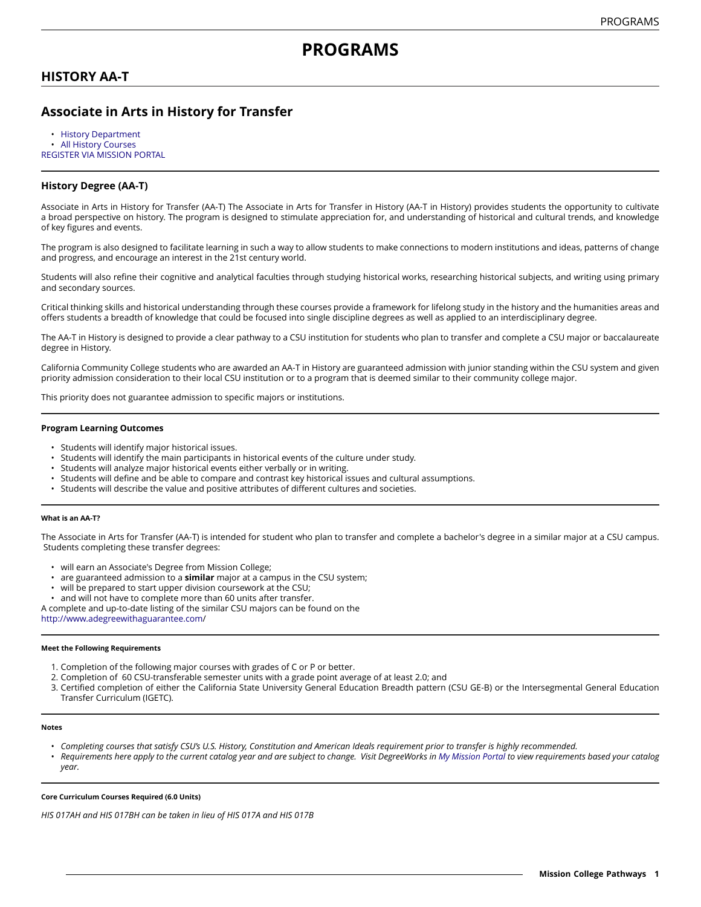# **HISTORY AA-T**

# **Associate in Arts in History for Transfer**

• [History Department](https://missioncollege.edu/depts/history/index.html) • [All History Courses](http://majors.missioncollege.edu/current/courses/his.html) [REGISTER](https://web.wvm.edu/) VIA MISSION PORTAL

### **History Degree (AA-T)**

Associate in Arts in History for Transfer (AA-T) The Associate in Arts for Transfer in History (AA-T in History) provides students the opportunity to cultivate a broad perspective on history. The program is designed to stimulate appreciation for, and understanding of historical and cultural trends, and knowledge of key figures and events.

The program is also designed to facilitate learning in such a way to allow students to make connections to modern institutions and ideas, patterns of change and progress, and encourage an interest in the 21st century world.

Students will also refine their cognitive and analytical faculties through studying historical works, researching historical subjects, and writing using primary and secondary sources.

Critical thinking skills and historical understanding through these courses provide a framework for lifelong study in the history and the humanities areas and offers students a breadth of knowledge that could be focused into single discipline degrees as well as applied to an interdisciplinary degree.

The AA-T in History is designed to provide a clear pathway to a CSU institution for students who plan to transfer and complete a CSU major or baccalaureate degree in History.

California Community College students who are awarded an AA-T in History are guaranteed admission with junior standing within the CSU system and given priority admission consideration to their local CSU institution or to a program that is deemed similar to their community college major.

This priority does not guarantee admission to specific majors or institutions.

#### **Program Learning Outcomes**

- Students will identify major historical issues.
- Students will identify the main participants in historical events of the culture under study.
- Students will analyze major historical events either verbally or in writing.
- Students will define and be able to compare and contrast key historical issues and cultural assumptions.
- Students will describe the value and positive attributes of different cultures and societies.

#### **What is an AA-T?**

The Associate in Arts for Transfer (AA-T) is intended for student who plan to transfer and complete a bachelor's degree in a similar major at a CSU campus. Students completing these transfer degrees:

- will earn an Associate's Degree from Mission College;
- are guaranteed admission to a **similar** major at a campus in the CSU system;
- will be prepared to start upper division coursework at the CSU;
- and will not have to complete more than 60 units after transfer.

A complete and up-to-date listing of the similar CSU majors can be found on the

[http://www.adegreewithaguarantee.com](http://www.adegreewithaguarantee.com/)/

#### **Meet the Following Requirements**

- 1. Completion of the following major courses with grades of C or P or better.
- 2. Completion of 60 CSU-transferable semester units with a grade point average of at least 2.0; and
- 3. Certified completion of either the California State University General Education Breadth pattern (CSU GE-B) or the Intersegmental General Education Transfer Curriculum (IGETC).

#### **Notes**

- Completing courses that satisfy CSU's U.S. History, Constitution and American Ideals requirement prior to transfer is highly recommended.
- Requirements here apply to the current catalog year and are subject to change. Visit DegreeWorks in [My Mission Portal](https://web.wvm.edu/#/) to view requirements based your catalog *year.*

#### **Core Curriculum Courses Required (6.0 Units)**

*HIS 017AH and HIS 017BH can be taken in lieu of HIS 017A and HIS 017B*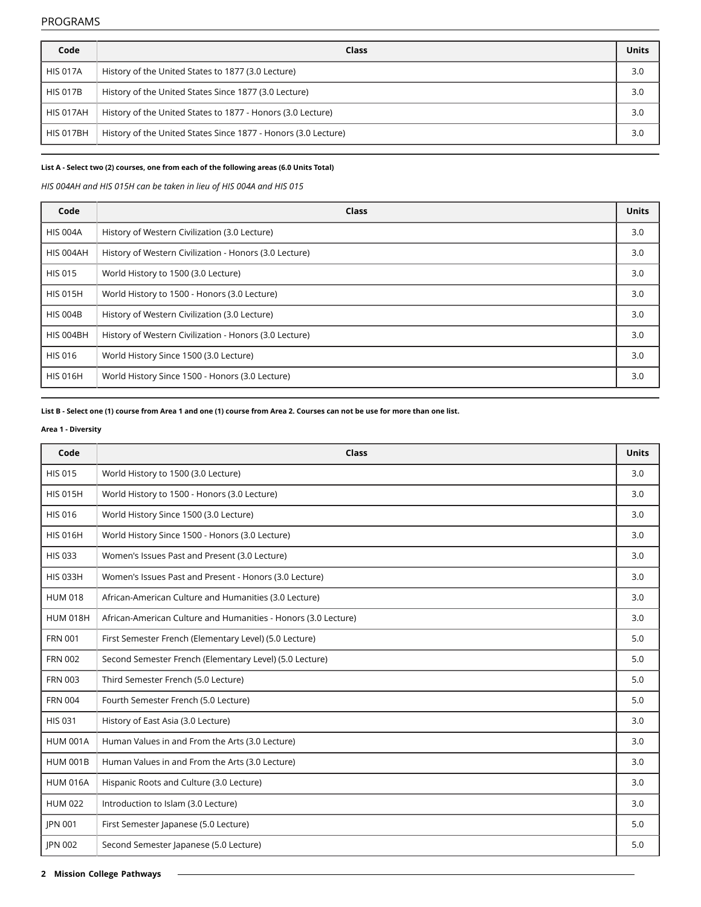### PROGRAMS

| Code             | Class                                                          | Units |
|------------------|----------------------------------------------------------------|-------|
| <b>HIS 017A</b>  | History of the United States to 1877 (3.0 Lecture)             | 3.0   |
| <b>HIS 017B</b>  | History of the United States Since 1877 (3.0 Lecture)          | 3.0   |
| <b>HIS 017AH</b> | History of the United States to 1877 - Honors (3.0 Lecture)    | 3.0   |
| <b>HIS 017BH</b> | History of the United States Since 1877 - Honors (3.0 Lecture) | 3.0   |

## **List A - Select two (2) courses, one from each of the following areas (6.0 Units Total)**

*HIS 004AH and HIS 015H can be taken in lieu of HIS 004A and HIS 015*

| Code            | Class                                                  | <b>Units</b> |
|-----------------|--------------------------------------------------------|--------------|
| <b>HIS 004A</b> | History of Western Civilization (3.0 Lecture)          | 3.0          |
| HIS 004AH       | History of Western Civilization - Honors (3.0 Lecture) | 3.0          |
| <b>HIS 015</b>  | World History to 1500 (3.0 Lecture)                    | 3.0          |
| <b>HIS 015H</b> | World History to 1500 - Honors (3.0 Lecture)           | 3.0          |
| <b>HIS 004B</b> | History of Western Civilization (3.0 Lecture)          | 3.0          |
| HIS 004BH       | History of Western Civilization - Honors (3.0 Lecture) | 3.0          |
| <b>HIS 016</b>  | World History Since 1500 (3.0 Lecture)                 | 3.0          |
| <b>HIS 016H</b> | World History Since 1500 - Honors (3.0 Lecture)        | 3.0          |

### List B - Select one (1) course from Area 1 and one (1) course from Area 2. Courses can not be use for more than one list.

### **Area 1 - Diversity**

| Code            | Class                                                          | <b>Units</b> |
|-----------------|----------------------------------------------------------------|--------------|
| <b>HIS 015</b>  | World History to 1500 (3.0 Lecture)                            | 3.0          |
| <b>HIS 015H</b> | World History to 1500 - Honors (3.0 Lecture)                   | 3.0          |
| <b>HIS 016</b>  | World History Since 1500 (3.0 Lecture)                         | 3.0          |
| <b>HIS 016H</b> | World History Since 1500 - Honors (3.0 Lecture)                | 3.0          |
| <b>HIS 033</b>  | Women's Issues Past and Present (3.0 Lecture)                  | 3.0          |
| <b>HIS 033H</b> | Women's Issues Past and Present - Honors (3.0 Lecture)         | 3.0          |
| <b>HUM 018</b>  | African-American Culture and Humanities (3.0 Lecture)          | 3.0          |
| <b>HUM 018H</b> | African-American Culture and Humanities - Honors (3.0 Lecture) | 3.0          |
| <b>FRN 001</b>  | First Semester French (Elementary Level) (5.0 Lecture)         | 5.0          |
| <b>FRN 002</b>  | Second Semester French (Elementary Level) (5.0 Lecture)        | 5.0          |
| <b>FRN 003</b>  | Third Semester French (5.0 Lecture)                            | 5.0          |
| <b>FRN 004</b>  | Fourth Semester French (5.0 Lecture)                           | 5.0          |
| <b>HIS 031</b>  | History of East Asia (3.0 Lecture)                             | 3.0          |
| <b>HUM 001A</b> | Human Values in and From the Arts (3.0 Lecture)                | 3.0          |
| <b>HUM 001B</b> | Human Values in and From the Arts (3.0 Lecture)                | 3.0          |
| <b>HUM 016A</b> | Hispanic Roots and Culture (3.0 Lecture)                       | 3.0          |
| <b>HUM 022</b>  | Introduction to Islam (3.0 Lecture)                            | 3.0          |
| <b>IPN 001</b>  | First Semester Japanese (5.0 Lecture)                          | 5.0          |
| <b>IPN 002</b>  | Second Semester Japanese (5.0 Lecture)                         | 5.0          |